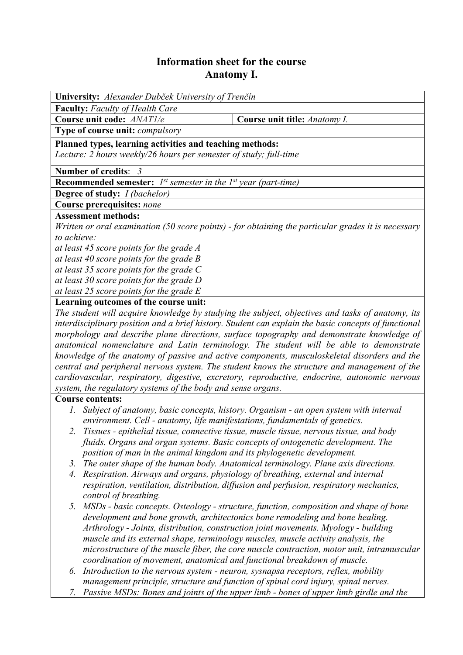## **Information sheet for the course Anatomy I.**

| University: Alexander Dubček University of Trenčín                                                  |                               |  |  |  |  |  |
|-----------------------------------------------------------------------------------------------------|-------------------------------|--|--|--|--|--|
| <b>Faculty:</b> Faculty of Health Care                                                              |                               |  |  |  |  |  |
| Course unit code: ANATI/e                                                                           | Course unit title: Anatomy I. |  |  |  |  |  |
| Type of course unit: compulsory                                                                     |                               |  |  |  |  |  |
| Planned types, learning activities and teaching methods:                                            |                               |  |  |  |  |  |
| Lecture: 2 hours weekly/26 hours per semester of study; full-time                                   |                               |  |  |  |  |  |
|                                                                                                     |                               |  |  |  |  |  |
| <b>Number of credits: 3</b>                                                                         |                               |  |  |  |  |  |
| <b>Recommended semester:</b> $I^{st}$ semester in the $I^{st}$ year (part-time)                     |                               |  |  |  |  |  |
| <b>Degree of study:</b> <i>I (bachelor)</i>                                                         |                               |  |  |  |  |  |
| Course prerequisites: none                                                                          |                               |  |  |  |  |  |
| <b>Assessment methods:</b>                                                                          |                               |  |  |  |  |  |
| Written or oral examination (50 score points) - for obtaining the particular grades it is necessary |                               |  |  |  |  |  |
| to achieve:                                                                                         |                               |  |  |  |  |  |
| at least 45 score points for the grade A                                                            |                               |  |  |  |  |  |
| at least 40 score points for the grade $B$                                                          |                               |  |  |  |  |  |
| at least 35 score points for the grade $C$                                                          |                               |  |  |  |  |  |
| at least 30 score points for the grade D                                                            |                               |  |  |  |  |  |
| at least 25 score points for the grade $E$                                                          |                               |  |  |  |  |  |
| Learning outcomes of the course unit:                                                               |                               |  |  |  |  |  |
| The student will acquire knowledge by studying the subject objectives and tasks of anatomy its      |                               |  |  |  |  |  |

*The student will acquire knowledge by studying the subject, objectives and tasks of anatomy, its interdisciplinary position and a brief history. Student can explain the basic concepts of functional morphology and describe plane directions, surface topography and demonstrate knowledge of anatomical nomenclature and Latin terminology. The student will be able to demonstrate knowledge of the anatomy of passive and active components, musculoskeletal disorders and the central and peripheral nervous system. The student knows the structure and management of the cardiovascular, respiratory, digestive, excretory, reproductive, endocrine, autonomic nervous system, the regulatory systems of the body and sense organs.* 

## **Course contents:**

- *1. Subject of anatomy, basic concepts, history. Organism an open system with internal environment. Cell - anatomy, life manifestations, fundamentals of genetics.*
- *2. Tissues epithelial tissue, connective tissue, muscle tissue, nervous tissue, and body fluids. Organs and organ systems. Basic concepts of ontogenetic development. The position of man in the animal kingdom and its phylogenetic development.*
- *3. The outer shape of the human body. Anatomical terminology. Plane axis directions.*
- *4. Respiration. Airways and organs, physiology of breathing, external and internal respiration, ventilation, distribution, diffusion and perfusion, respiratory mechanics, control of breathing.*
- *5. MSDs basic concepts. Osteology structure, function, composition and shape of bone development and bone growth, architectonics bone remodeling and bone healing. Arthrology - Joints, distribution, construction joint movements. Myology - building muscle and its external shape, terminology muscles, muscle activity analysis, the microstructure of the muscle fiber, the core muscle contraction, motor unit, intramuscular coordination of movement, anatomical and functional breakdown of muscle.*
- *6. Introduction to the nervous system neuron, sysnapsa receptors, reflex, mobility management principle, structure and function of spinal cord injury, spinal nerves.*
- *7. Passive MSDs: Bones and joints of the upper limb bones of upper limb girdle and the*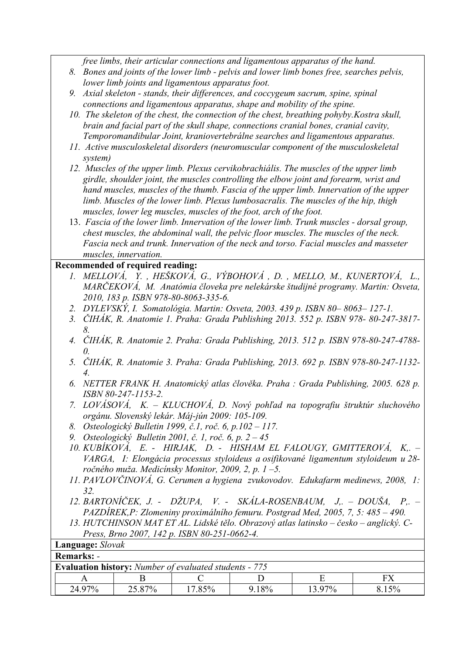*free limbs, their articular connections and ligamentous apparatus of the hand.* 

- *8. Bones and joints of the lower limb pelvis and lower limb bones free, searches pelvis, lower limb joints and ligamentous apparatus foot.*
- *9. Axial skeleton stands, their differences, and coccygeum sacrum, spine, spinal connections and ligamentous apparatus, shape and mobility of the spine.*
- *10. The skeleton of the chest, the connection of the chest, breathing pohyby.Kostra skull, brain and facial part of the skull shape, connections cranial bones, cranial cavity, Temporomandibular Joint, kraniovertebrálne searches and ligamentous apparatus.*
- *11. Active musculoskeletal disorders (neuromuscular component of the musculoskeletal system)*
- *12. Muscles of the upper limb. Plexus cervikobrachiális. The muscles of the upper limb girdle, shoulder joint, the muscles controlling the elbow joint and forearm, wrist and hand muscles, muscles of the thumb. Fascia of the upper limb. Innervation of the upper limb. Muscles of the lower limb. Plexus lumbosacralis. The muscles of the hip, thigh muscles, lower leg muscles, muscles of the foot, arch of the foot.*
- 13. *Fascia of the lower limb. Innervation of the lower limb. Trunk muscles dorsal group, chest muscles, the abdominal wall, the pelvic floor muscles. The muscles of the neck. Fascia neck and trunk. Innervation of the neck and torso. Facial muscles and masseter muscles, innervation.*

## **Recommended of required reading:**

- *1. MELLOVÁ, Y. , HEŠKOVÁ, G., VÝBOHOVÁ , D. , MELLO, M., KUNERTOVÁ, L., MARČEKOVÁ, M. Anatómia človeka pre nelekárske študijné programy. Martin: Osveta, 2010, 183 p. ISBN 978-80-8063-335-6.*
- *2. DYLEVSKÝ, I. Somatológia. Martin: Osveta, 2003. 439 p. ISBN 80– 8063– 127-1.*
- *3. ČIHÁK, R. Anatomie 1. Praha: Grada Publishing 2013. 552 p. ISBN 978- 80-247-3817- 8.*
- *4. ČIHÁK, R. Anatomie 2. Praha: Grada Publishing, 2013. 512 p. ISBN 978-80-247-4788- 0.*
- *5. ČIHÁK, R. Anatomie 3. Praha: Grada Publishing, 2013. 692 p. ISBN 978-80-247-1132- 4.*
- *6. NETTER FRANK H. Anatomický atlas člověka. Praha : Grada Publishing, 2005. 628 p. ISBN 80-247-1153-2.*
- *7. LOVÁSOVÁ, K. KLUCHOVÁ, D. Nový pohľad na topografiu štruktúr sluchového orgánu. Slovenský lekár. Máj-jún 2009: 105-109.*
- *8. Osteologický Bulletin 1999, č.1, roč. 6, p.102 117.*
- *9. Osteologický Bulletin 2001, č. 1, roč. 6, p. 2 45*
- *10. KUBÍKOVÁ, E. HIRJAK, D. HISHAM EL FALOUGY, GMITTEROVÁ, K,. VARGA, I: Elongácia processus styloideus a osifikované ligamentum styloideum u 28 ročného muža. Medicínsky Monitor, 2009, 2, p. 1 –5.*
- *11. PAVLOVČINOVÁ, G. Cerumen a hygiena zvukovodov. Edukafarm medinews, 2008, 1: 32.*
- *12. BARTONÍČEK, J. DŽUPA, V. SKÁLA-ROSENBAUM, J,. DOUŠA, P,. PAZDÍREK,P: Zlomeniny proximálního femuru. Postgrad Med, 2005, 7, 5: 485 – 490.*
- *13. HUTCHINSON MAT ET AL. Lidské tělo. Obrazový atlas latinsko česko anglický. C-Press, Brno 2007, 142 p. ISBN 80-251-0662-4.*  **Language:** *Slovak*

| Language. <i>Slovan</i>                                       |        |        |           |       |        |       |  |
|---------------------------------------------------------------|--------|--------|-----------|-------|--------|-------|--|
| <b>Remarks: -</b>                                             |        |        |           |       |        |       |  |
| <b>Evaluation history:</b> Number of evaluated students - 775 |        |        |           |       |        |       |  |
|                                                               |        |        |           |       |        |       |  |
|                                                               | 24.97% | 25.87% | $17.85\%$ | 9.18% | 13.97% | 8.15% |  |